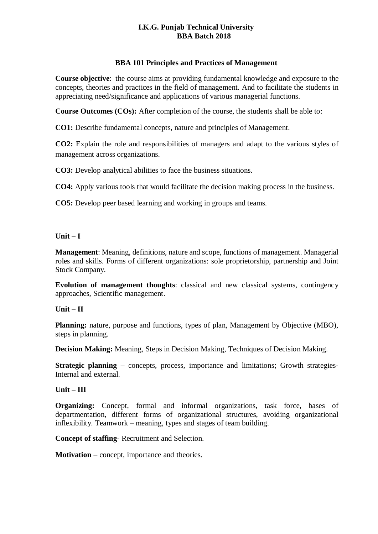## **I.K.G. Punjab Technical University BBA Batch 2018**

## **BBA 101 Principles and Practices of Management**

**Course objective**: the course aims at providing fundamental knowledge and exposure to the concepts, theories and practices in the field of management. And to facilitate the students in appreciating need/significance and applications of various managerial functions.

**Course Outcomes (COs):** After completion of the course, the students shall be able to:

**CO1:** Describe fundamental concepts, nature and principles of Management.

**CO2:** Explain the role and responsibilities of managers and adapt to the various styles of management across organizations.

**CO3:** Develop analytical abilities to face the business situations.

**CO4:** Apply various tools that would facilitate the decision making process in the business.

**CO5:** Develop peer based learning and working in groups and teams.

#### **Unit – I**

**Management**: Meaning, definitions, nature and scope, functions of management. Managerial roles and skills. Forms of different organizations: sole proprietorship, partnership and Joint Stock Company.

**Evolution of management thoughts**: classical and new classical systems, contingency approaches, Scientific management.

## **Unit – II**

**Planning:** nature, purpose and functions, types of plan, Management by Objective (MBO), steps in planning.

**Decision Making:** Meaning, Steps in Decision Making, Techniques of Decision Making.

**Strategic planning** – concepts, process, importance and limitations; Growth strategies-Internal and external.

#### **Unit – III**

**Organizing:** Concept, formal and informal organizations, task force, bases of departmentation, different forms of organizational structures, avoiding organizational inflexibility. Teamwork – meaning, types and stages of team building.

**Concept of staffing**- Recruitment and Selection.

**Motivation** – concept, importance and theories.